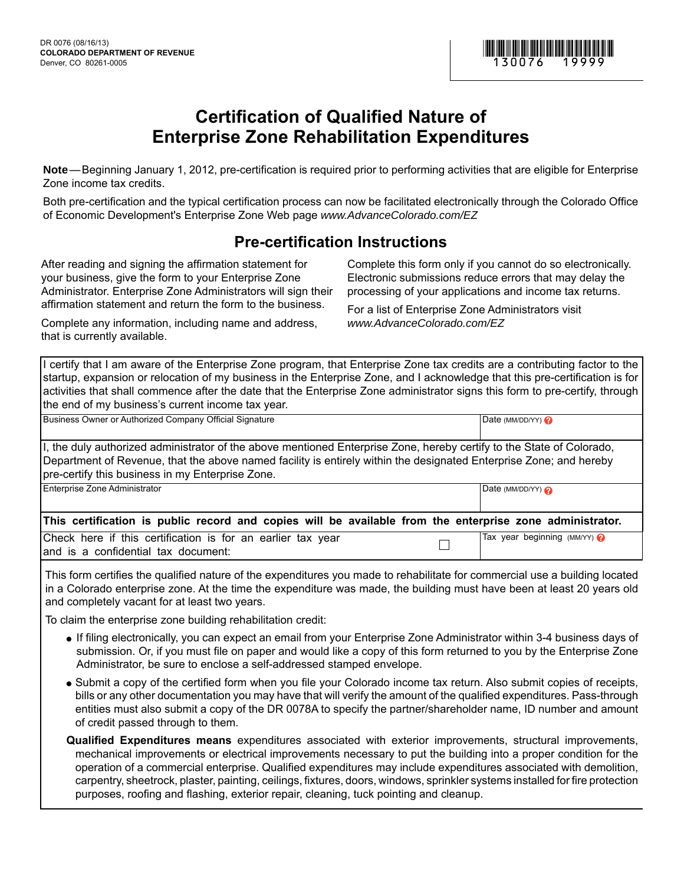

## **Certification of Qualified Nature of Enterprise Zone Rehabilitation Expenditures**

**Note** — Beginning January 1, 2012, pre-certification is required prior to performing activities that are eligible for Enterprise Zone income tax credits.

Both pre-certification and the typical certification process can now be facilitated electronically through the Colorado Office of Economic Development's Enterprise Zone Web page *www.AdvanceColorado.com/EZ*

## **Pre-certification Instructions**

After reading and signing the affirmation statement for your business, give the form to your Enterprise Zone Administrator. Enterprise Zone Administrators will sign their affirmation statement and return the form to the business.

Complete any information, including name and address, that is currently available.

Complete this form only if you cannot do so electronically. Electronic submissions reduce errors that may delay the processing of your applications and income tax returns.

For a list of Enterprise Zone Administrators visit *www.AdvanceColorado.com/EZ*

I certify that I am aware of the Enterprise Zone program, that Enterprise Zone tax credits are a contributing factor to the startup, expansion or relocation of my business in the Enterprise Zone, and I acknowledge that this pre-certification is for activities that shall commence after the date that the Enterprise Zone administrator signs this form to pre-certify, through the end of my business's current income tax year.

| Business Owner or Authorized Company Official Signature                                                                                                                                                                                                                                         | Date (MM/DD/YY) $\odot$     |  |  |  |  |  |  |  |  |
|-------------------------------------------------------------------------------------------------------------------------------------------------------------------------------------------------------------------------------------------------------------------------------------------------|-----------------------------|--|--|--|--|--|--|--|--|
| I, the duly authorized administrator of the above mentioned Enterprise Zone, hereby certify to the State of Colorado,<br>Department of Revenue, that the above named facility is entirely within the designated Enterprise Zone; and hereby<br>pre-certify this business in my Enterprise Zone. |                             |  |  |  |  |  |  |  |  |
| Enterprise Zone Administrator                                                                                                                                                                                                                                                                   | Date (MM/DD/YY) $\odot$     |  |  |  |  |  |  |  |  |
| This certification is public record and copies will be available from the enterprise zone administrator.                                                                                                                                                                                        |                             |  |  |  |  |  |  |  |  |
| Check here if this certification is for an earlier tax year<br>and is a confidential tax document:                                                                                                                                                                                              | Tax year beginning $(MMYY)$ |  |  |  |  |  |  |  |  |

This form certifies the qualified nature of the expenditures you made to rehabilitate for commercial use a building located in a Colorado enterprise zone. At the time the expenditure was made, the building must have been at least 20 years old and completely vacant for at least two years.

To claim the enterprise zone building rehabilitation credit:

- If filing electronically, you can expect an email from your Enterprise Zone Administrator within 3-4 business days of submission. Or, if you must file on paper and would like a copy of this form returned to you by the Enterprise Zone Administrator, be sure to enclose a self-addressed stamped envelope.
- Submit a copy of the certified form when you file your Colorado income tax return. Also submit copies of receipts, bills or any other documentation you may have that will verify the amount of the qualified expenditures. Pass-through entities must also submit a copy of the DR 0078A to specify the partner/shareholder name, ID number and amount of credit passed through to them.
- **Qualified Expenditures means** expenditures associated with exterior improvements, structural improvements, mechanical improvements or electrical improvements necessary to put the building into a proper condition for the operation of a commercial enterprise. Qualified expenditures may include expenditures associated with demolition, carpentry, sheetrock, plaster, painting, ceilings, fixtures, doors, windows, sprinkler systems installed for fire protection purposes, roofing and flashing, exterior repair, cleaning, tuck pointing and cleanup.